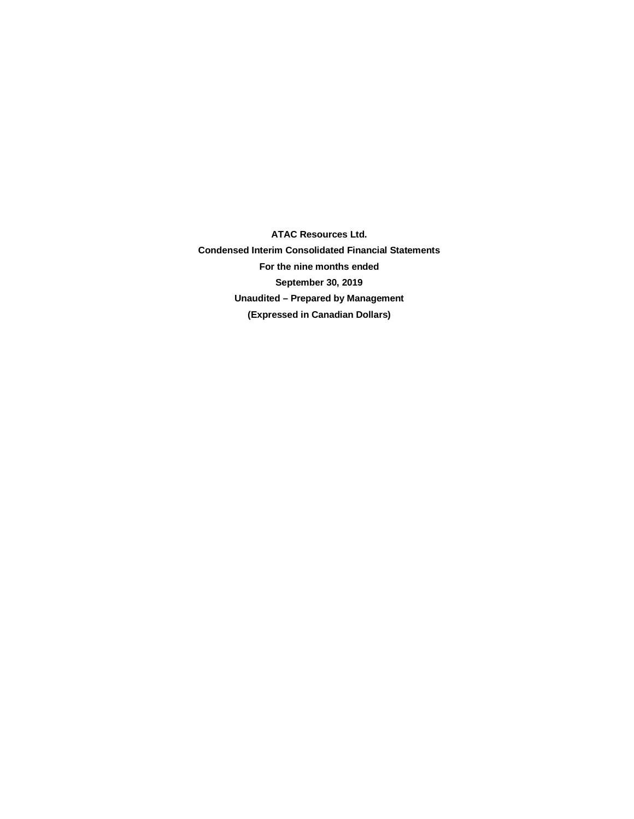**ATAC Resources Ltd. Condensed Interim Consolidated Financial Statements For the nine months ended September 30, 2019 Unaudited – Prepared by Management (Expressed in Canadian Dollars)**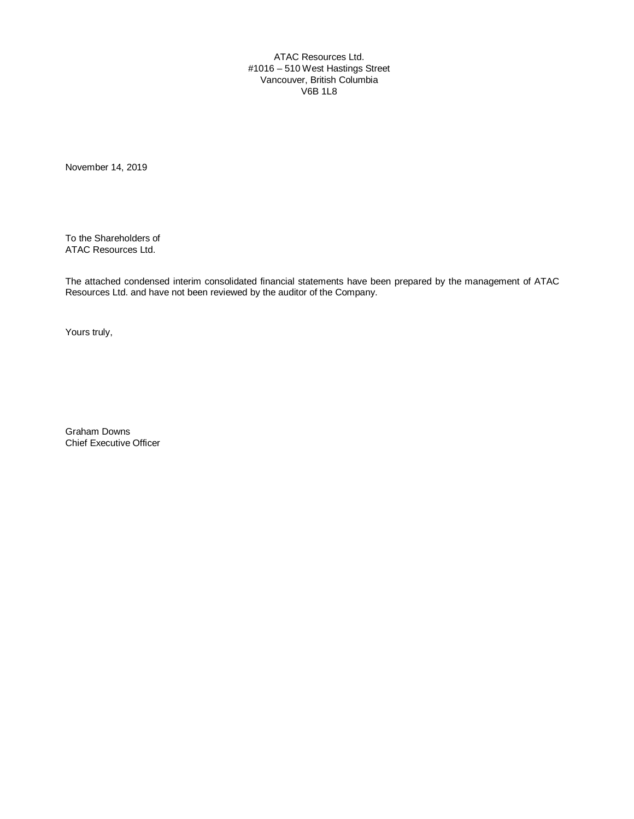ATAC Resources Ltd. #1016 – 510 West Hastings Street Vancouver, British Columbia V6B 1L8

November 14, 2019

To the Shareholders of ATAC Resources Ltd.

The attached condensed interim consolidated financial statements have been prepared by the management of ATAC Resources Ltd. and have not been reviewed by the auditor of the Company.

Yours truly,

Graham Downs Chief Executive Officer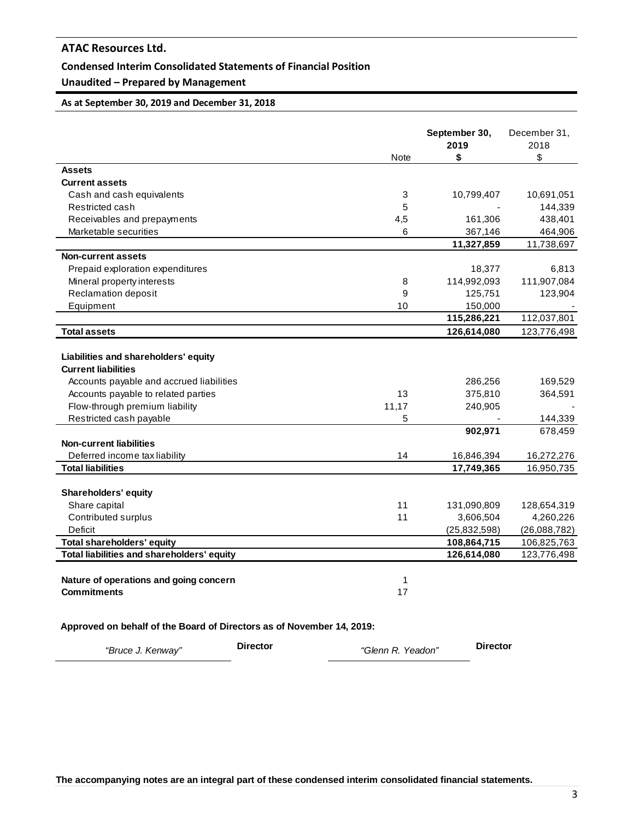## **Condensed Interim Consolidated Statements of Financial Position**

# **Unaudited – Prepared by Management**

## **As at September 30, 2019 and December 31, 2018**

|                                                                                                                                                                                                                    | <b>Note</b>      | September 30,<br>2019<br>\$              | December 31,<br>2018<br>\$               |
|--------------------------------------------------------------------------------------------------------------------------------------------------------------------------------------------------------------------|------------------|------------------------------------------|------------------------------------------|
| <b>Assets</b>                                                                                                                                                                                                      |                  |                                          |                                          |
| <b>Current assets</b>                                                                                                                                                                                              |                  |                                          |                                          |
| Cash and cash equivalents                                                                                                                                                                                          | 3                | 10,799,407                               | 10,691,051                               |
| Restricted cash                                                                                                                                                                                                    | 5                |                                          | 144,339                                  |
| Receivables and prepayments                                                                                                                                                                                        | 4,5              | 161,306                                  | 438,401                                  |
| Marketable securities                                                                                                                                                                                              | 6                | 367,146                                  | 464,906                                  |
|                                                                                                                                                                                                                    |                  | 11,327,859                               | 11,738,697                               |
| <b>Non-current assets</b>                                                                                                                                                                                          |                  |                                          |                                          |
| Prepaid exploration expenditures                                                                                                                                                                                   |                  | 18,377                                   | 6,813                                    |
| Mineral property interests                                                                                                                                                                                         | 8                | 114,992,093                              | 111,907,084                              |
| Reclamation deposit                                                                                                                                                                                                | 9                | 125,751                                  | 123,904                                  |
| Equipment                                                                                                                                                                                                          | 10               | 150,000                                  |                                          |
|                                                                                                                                                                                                                    |                  | 115,286,221                              | 112,037,801                              |
| <b>Total assets</b>                                                                                                                                                                                                |                  | 126,614,080                              | 123,776,498                              |
| Liabilities and shareholders' equity<br><b>Current liabilities</b><br>Accounts payable and accrued liabilities<br>Accounts payable to related parties<br>Flow-through premium liability<br>Restricted cash payable | 13<br>11,17<br>5 | 286,256<br>375,810<br>240,905<br>902,971 | 169,529<br>364,591<br>144,339<br>678,459 |
| <b>Non-current liabilities</b>                                                                                                                                                                                     |                  |                                          |                                          |
| Deferred income tax liability                                                                                                                                                                                      | 14               | 16,846,394                               | 16,272,276                               |
| <b>Total liabilities</b>                                                                                                                                                                                           |                  | 17,749,365                               | 16,950,735                               |
| <b>Shareholders' equity</b><br>Share capital<br>Contributed surplus                                                                                                                                                | 11<br>11         | 131,090,809<br>3,606,504                 | 128,654,319<br>4,260,226                 |
| Deficit                                                                                                                                                                                                            |                  | (25, 832, 598)                           | (26,088,782)                             |
| <b>Total shareholders' equity</b>                                                                                                                                                                                  |                  | 108,864,715                              | 106,825,763                              |
| Total liabilities and shareholders' equity                                                                                                                                                                         |                  | 126,614,080                              | 123,776,498                              |
| Nature of operations and going concern<br><b>Commitments</b>                                                                                                                                                       | 1<br>17          |                                          |                                          |

# **Approved on behalf of the Board of Directors as of November 14, 2019:**

| "Bruce J. Kenway" | <b>Director</b> | "Glenn R. Yeadon" | <b>Director</b> |
|-------------------|-----------------|-------------------|-----------------|
|-------------------|-----------------|-------------------|-----------------|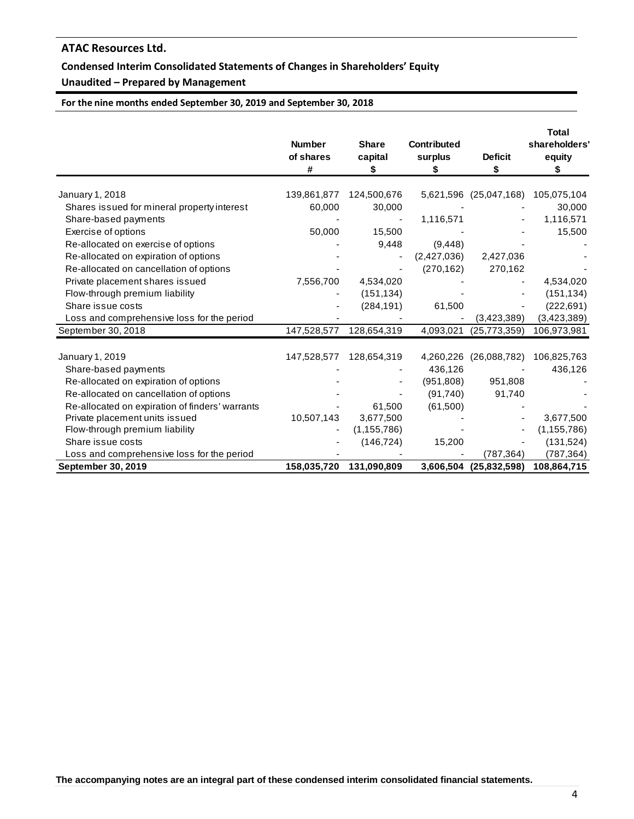# **Condensed Interim Consolidated Statements of Changes in Shareholders' Equity**

# **Unaudited – Prepared by Management**

**For the nine months ended September 30, 2019 and September 30, 2018**

|                                                 | <b>Number</b><br>of shares<br># | <b>Share</b><br>capital<br>\$ | <b>Contributed</b><br>surplus<br>\$ | <b>Deficit</b><br>\$   | <b>Total</b><br>shareholders'<br>equity<br>S |
|-------------------------------------------------|---------------------------------|-------------------------------|-------------------------------------|------------------------|----------------------------------------------|
| January 1, 2018                                 | 139,861,877                     | 124,500,676                   |                                     | 5,621,596 (25,047,168) | 105,075,104                                  |
| Shares issued for mineral property interest     | 60,000                          | 30,000                        |                                     |                        | 30,000                                       |
| Share-based payments                            |                                 |                               | 1,116,571                           |                        | 1,116,571                                    |
| Exercise of options                             | 50,000                          | 15,500                        |                                     |                        | 15,500                                       |
| Re-allocated on exercise of options             |                                 | 9,448                         | (9, 448)                            |                        |                                              |
| Re-allocated on expiration of options           |                                 |                               | (2,427,036)                         | 2,427,036              |                                              |
| Re-allocated on cancellation of options         |                                 |                               | (270, 162)                          | 270,162                |                                              |
| Private placement shares issued                 | 7,556,700                       | 4,534,020                     |                                     |                        | 4,534,020                                    |
| Flow-through premium liability                  |                                 | (151, 134)                    |                                     |                        | (151, 134)                                   |
| Share issue costs                               |                                 | (284, 191)                    | 61,500                              |                        | (222, 691)                                   |
| Loss and comprehensive loss for the period      |                                 |                               |                                     | (3,423,389)            | (3,423,389)                                  |
| September 30, 2018                              | 147,528,577                     | 128,654,319                   | 4,093,021                           | (25, 773, 359)         | 106,973,981                                  |
|                                                 |                                 |                               |                                     |                        |                                              |
| January 1, 2019                                 | 147,528,577                     | 128,654,319                   |                                     | 4,260,226 (26,088,782) | 106,825,763                                  |
| Share-based payments                            |                                 |                               | 436,126                             |                        | 436,126                                      |
| Re-allocated on expiration of options           |                                 |                               | (951, 808)                          | 951,808                |                                              |
| Re-allocated on cancellation of options         |                                 |                               | (91, 740)                           | 91,740                 |                                              |
| Re-allocated on expiration of finders' warrants |                                 | 61,500                        | (61,500)                            |                        |                                              |
| Private placement units issued                  | 10,507,143                      | 3,677,500                     |                                     |                        | 3,677,500                                    |
| Flow-through premium liability                  |                                 | (1, 155, 786)                 |                                     |                        | (1, 155, 786)                                |
| Share issue costs                               |                                 | (146, 724)                    | 15,200                              |                        | (131, 524)                                   |
| Loss and comprehensive loss for the period      |                                 |                               |                                     | (787, 364)             | (787,364)                                    |
| September 30, 2019                              | 158,035,720                     | 131,090,809                   |                                     | 3,606,504 (25,832,598) | 108,864,715                                  |

**The accompanying notes are an integral part of these condensed interim consolidated financial statements.**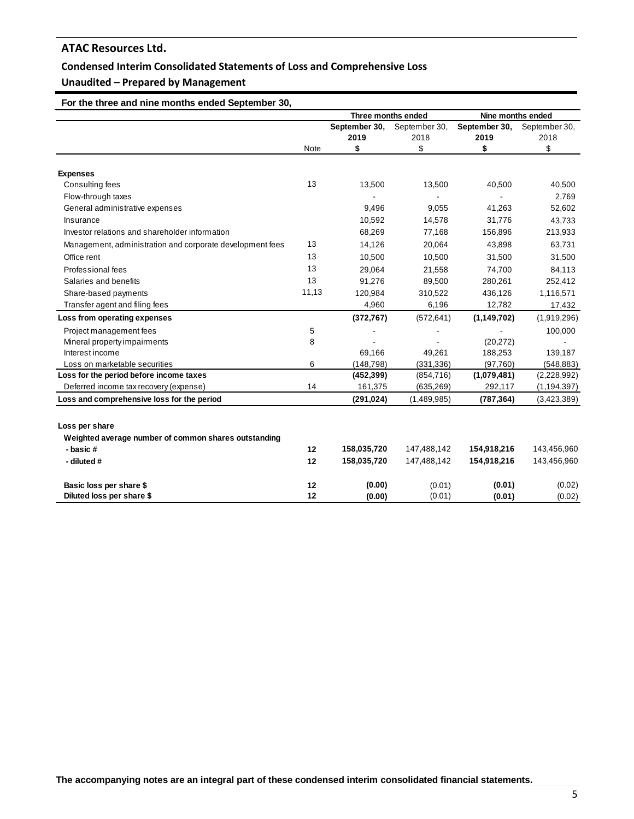# **Condensed Interim Consolidated Statements of Loss and Comprehensive Loss**

# **Unaudited – Prepared by Management**

# **For the three and nine months ended September 30,**

|                                                           |       | Three months ended |               |               | Nine months ended |
|-----------------------------------------------------------|-------|--------------------|---------------|---------------|-------------------|
|                                                           |       | September 30,      | September 30, | September 30, | September 30,     |
|                                                           |       | 2019               | 2018          | 2019          | 2018              |
|                                                           | Note  | \$                 | \$            | \$            | \$                |
|                                                           |       |                    |               |               |                   |
| <b>Expenses</b>                                           |       |                    |               |               |                   |
| Consulting fees                                           | 13    | 13,500             | 13,500        | 40,500        | 40,500            |
| Flow-through taxes                                        |       |                    |               |               | 2,769             |
| General administrative expenses                           |       | 9,496              | 9,055         | 41,263        | 52,602            |
| Insurance                                                 |       | 10,592             | 14,578        | 31,776        | 43,733            |
| Investor relations and shareholder information            |       | 68,269             | 77,168        | 156,896       | 213,933           |
| Management, administration and corporate development fees | 13    | 14,126             | 20,064        | 43,898        | 63,731            |
| Office rent                                               | 13    | 10,500             | 10,500        | 31,500        | 31,500            |
| Professional fees                                         | 13    | 29,064             | 21,558        | 74,700        | 84,113            |
| Salaries and benefits                                     | 13    | 91,276             | 89,500        | 280,261       | 252,412           |
| Share-based payments                                      | 11,13 | 120,984            | 310,522       | 436,126       | 1,116,571         |
| Transfer agent and filing fees                            |       | 4,960              | 6,196         | 12,782        | 17,432            |
| Loss from operating expenses                              |       | (372, 767)         | (572, 641)    | (1, 149, 702) | (1,919,296)       |
| Project management fees                                   | 5     |                    |               |               | 100,000           |
| Mineral property impairments                              | 8     |                    |               | (20, 272)     |                   |
| Interest income                                           |       | 69.166             | 49.261        | 188,253       | 139,187           |
| Loss on marketable securities                             | 6     | (148, 798)         | (331, 336)    | (97,760)      | (548, 883)        |
| Loss for the period before income taxes                   |       | (452, 399)         | (854, 716)    | (1,079,481)   | (2,228,992)       |
| Deferred income tax recovery (expense)                    | 14    | 161,375            | (635, 269)    | 292,117       | (1, 194, 397)     |
| Loss and comprehensive loss for the period                |       | (291, 024)         | (1,489,985)   | (787, 364)    | (3,423,389)       |
|                                                           |       |                    |               |               |                   |
| Loss per share                                            |       |                    |               |               |                   |
| Weighted average number of common shares outstanding      |       |                    |               |               |                   |
| - basic#                                                  | 12    | 158,035,720        | 147,488,142   | 154,918,216   | 143,456,960       |
| - diluted #                                               | 12    | 158,035,720        | 147,488,142   | 154,918,216   | 143,456,960       |
| Basic loss per share \$                                   | 12    | (0.00)             | (0.01)        | (0.01)        | (0.02)            |
| Diluted loss per share \$                                 | 12    | (0.00)             | (0.01)        | (0.01)        | (0.02)            |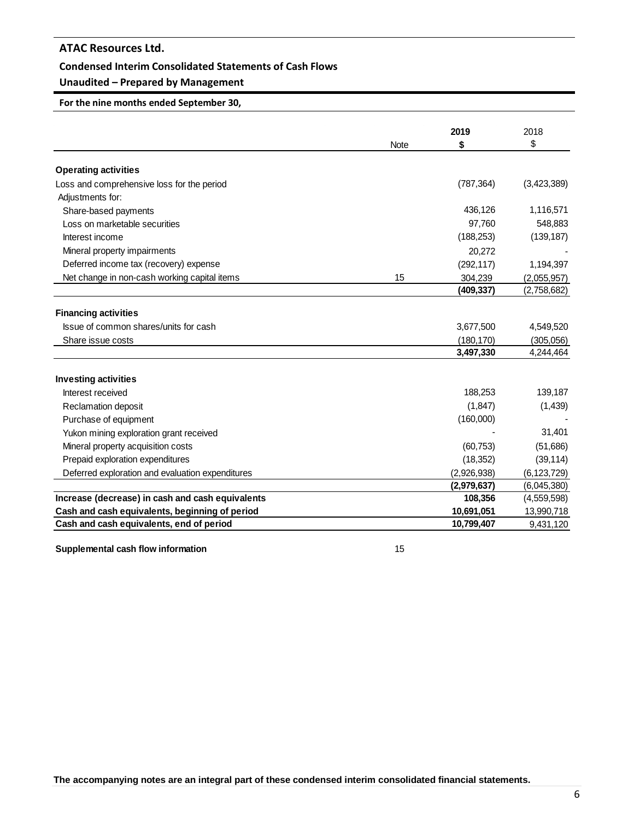### **Condensed Interim Consolidated Statements of Cash Flows**

# **Unaudited – Prepared by Management**

**For the nine months ended September 30,**

|                                                  |             | 2019                 | 2018                       |
|--------------------------------------------------|-------------|----------------------|----------------------------|
|                                                  | <b>Note</b> | \$                   | \$                         |
| <b>Operating activities</b>                      |             |                      |                            |
| Loss and comprehensive loss for the period       |             | (787, 364)           | (3,423,389)                |
| Adjustments for:                                 |             |                      |                            |
| Share-based payments                             |             | 436,126              | 1,116,571                  |
| Loss on marketable securities                    |             | 97.760               | 548,883                    |
| Interest income                                  |             | (188, 253)           | (139, 187)                 |
| Mineral property impairments                     |             | 20,272               |                            |
| Deferred income tax (recovery) expense           |             |                      |                            |
| Net change in non-cash working capital items     | 15          | (292, 117)           | 1,194,397                  |
|                                                  |             | 304,239<br>(409,337) | (2,055,957)<br>(2,758,682) |
|                                                  |             |                      |                            |
| <b>Financing activities</b>                      |             |                      |                            |
| Issue of common shares/units for cash            |             | 3,677,500            | 4,549,520                  |
| Share issue costs                                |             | (180, 170)           | (305,056)                  |
|                                                  |             | 3,497,330            | 4,244,464                  |
| <b>Investing activities</b>                      |             |                      |                            |
| Interest received                                |             | 188,253              | 139,187                    |
| Reclamation deposit                              |             | (1, 847)             | (1,439)                    |
| Purchase of equipment                            |             | (160,000)            |                            |
| Yukon mining exploration grant received          |             |                      | 31,401                     |
| Mineral property acquisition costs               |             | (60, 753)            | (51,686)                   |
| Prepaid exploration expenditures                 |             | (18, 352)            | (39, 114)                  |
| Deferred exploration and evaluation expenditures |             | (2,926,938)          | (6, 123, 729)              |
|                                                  |             | (2,979,637)          | (6,045,380)                |
| Increase (decrease) in cash and cash equivalents |             | 108,356              | (4,559,598)                |
| Cash and cash equivalents, beginning of period   |             | 10,691,051           | 13,990,718                 |
| Cash and cash equivalents, end of period         |             | 10,799,407           | 9,431,120                  |

#### **Supplemental cash flow information** 15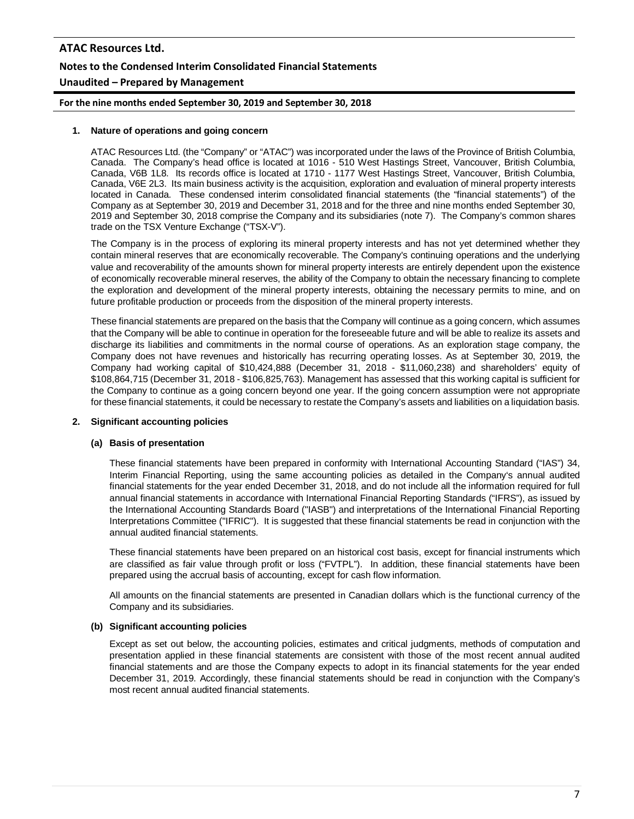# **ATAC Resources Ltd. Notes to the Condensed Interim Consolidated Financial Statements Unaudited – Prepared by Management**

**For the nine months ended September 30, 2019 and September 30, 2018**

#### **1. Nature of operations and going concern**

ATAC Resources Ltd. (the "Company" or "ATAC") was incorporated under the laws of the Province of British Columbia, Canada. The Company's head office is located at 1016 - 510 West Hastings Street, Vancouver, British Columbia, Canada, V6B 1L8. Its records office is located at 1710 - 1177 West Hastings Street, Vancouver, British Columbia, Canada, V6E 2L3. Its main business activity is the acquisition, exploration and evaluation of mineral property interests located in Canada. These condensed interim consolidated financial statements (the "financial statements") of the Company as at September 30, 2019 and December 31, 2018 and for the three and nine months ended September 30, 2019 and September 30, 2018 comprise the Company and its subsidiaries (note 7). The Company's common shares trade on the TSX Venture Exchange ("TSX-V").

The Company is in the process of exploring its mineral property interests and has not yet determined whether they contain mineral reserves that are economically recoverable. The Company's continuing operations and the underlying value and recoverability of the amounts shown for mineral property interests are entirely dependent upon the existence of economically recoverable mineral reserves, the ability of the Company to obtain the necessary financing to complete the exploration and development of the mineral property interests, obtaining the necessary permits to mine, and on future profitable production or proceeds from the disposition of the mineral property interests.

These financial statements are prepared on the basis that the Company will continue as a going concern, which assumes that the Company will be able to continue in operation for the foreseeable future and will be able to realize its assets and discharge its liabilities and commitments in the normal course of operations. As an exploration stage company, the Company does not have revenues and historically has recurring operating losses. As at September 30, 2019, the Company had working capital of \$10,424,888 (December 31, 2018 - \$11,060,238) and shareholders' equity of \$108,864,715 (December 31, 2018 - \$106,825,763). Management has assessed that this working capital is sufficient for the Company to continue as a going concern beyond one year. If the going concern assumption were not appropriate for these financial statements, it could be necessary to restate the Company's assets and liabilities on a liquidation basis.

### **2. Significant accounting policies**

#### **(a) Basis of presentation**

These financial statements have been prepared in conformity with International Accounting Standard ("IAS") 34, Interim Financial Reporting, using the same accounting policies as detailed in the Company's annual audited financial statements for the year ended December 31, 2018, and do not include all the information required for full annual financial statements in accordance with International Financial Reporting Standards ("IFRS"), as issued by the International Accounting Standards Board ("IASB") and interpretations of the International Financial Reporting Interpretations Committee ("IFRIC"). It is suggested that these financial statements be read in conjunction with the annual audited financial statements.

These financial statements have been prepared on an historical cost basis, except for financial instruments which are classified as fair value through profit or loss ("FVTPL"). In addition, these financial statements have been prepared using the accrual basis of accounting, except for cash flow information.

All amounts on the financial statements are presented in Canadian dollars which is the functional currency of the Company and its subsidiaries.

#### **(b) Significant accounting policies**

Except as set out below, the accounting policies, estimates and critical judgments, methods of computation and presentation applied in these financial statements are consistent with those of the most recent annual audited financial statements and are those the Company expects to adopt in its financial statements for the year ended December 31, 2019. Accordingly, these financial statements should be read in conjunction with the Company's most recent annual audited financial statements.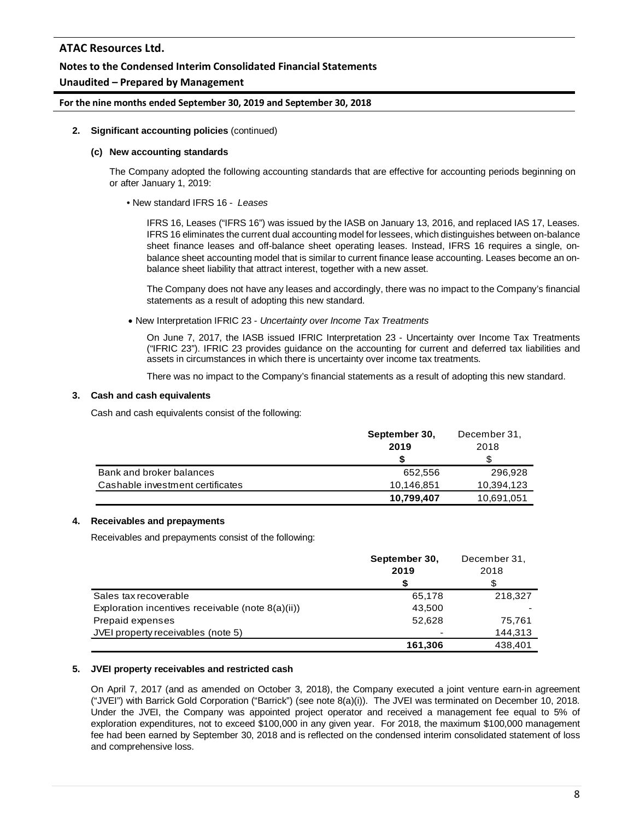### **Notes to the Condensed Interim Consolidated Financial Statements**

## **Unaudited – Prepared by Management**

**For the nine months ended September 30, 2019 and September 30, 2018**

#### **2. Significant accounting policies** (continued)

#### **(c) New accounting standards**

The Company adopted the following accounting standards that are effective for accounting periods beginning on or after January 1, 2019:

• New standard IFRS 16 - *Leases*

IFRS 16, Leases ("IFRS 16") was issued by the IASB on January 13, 2016, and replaced IAS 17, Leases. IFRS 16 eliminates the current dual accounting model for lessees, which distinguishes between on-balance sheet finance leases and off-balance sheet operating leases. Instead, IFRS 16 requires a single, onbalance sheet accounting model that is similar to current finance lease accounting. Leases become an onbalance sheet liability that attract interest, together with a new asset.

The Company does not have any leases and accordingly, there was no impact to the Company's financial statements as a result of adopting this new standard.

• New Interpretation IFRIC 23 - *Uncertainty over Income Tax Treatments*

On June 7, 2017, the IASB issued IFRIC Interpretation 23 - Uncertainty over Income Tax Treatments ("IFRIC 23"). IFRIC 23 provides guidance on the accounting for current and deferred tax liabilities and assets in circumstances in which there is uncertainty over income tax treatments.

There was no impact to the Company's financial statements as a result of adopting this new standard.

#### **3. Cash and cash equivalents**

Cash and cash equivalents consist of the following:

|                                  | September 30, | December 31, |
|----------------------------------|---------------|--------------|
|                                  | 2019          | 2018         |
|                                  |               |              |
| Bank and broker balances         | 652.556       | 296,928      |
| Cashable investment certificates | 10.146.851    | 10,394,123   |
|                                  | 10,799,407    | 10,691,051   |

### **4. Receivables and prepayments**

Receivables and prepayments consist of the following:

|                                                   | September 30, | December 31, |
|---------------------------------------------------|---------------|--------------|
|                                                   | 2019          | 2018         |
|                                                   |               |              |
| Sales tax recoverable                             | 65,178        | 218,327      |
| Exploration incentives receivable (note 8(a)(ii)) | 43,500        |              |
| Prepaid expenses                                  | 52.628        | 75.761       |
| JVEI property receivables (note 5)                |               | 144,313      |
|                                                   | 161.306       | 438.401      |

### **5. JVEI property receivables and restricted cash**

On April 7, 2017 (and as amended on October 3, 2018), the Company executed a joint venture earn-in agreement ("JVEI") with Barrick Gold Corporation ("Barrick") (see note 8(a)(i)). The JVEI was terminated on December 10, 2018. Under the JVEI, the Company was appointed project operator and received a management fee equal to 5% of exploration expenditures, not to exceed \$100,000 in any given year. For 2018, the maximum \$100,000 management fee had been earned by September 30, 2018 and is reflected on the condensed interim consolidated statement of loss and comprehensive loss.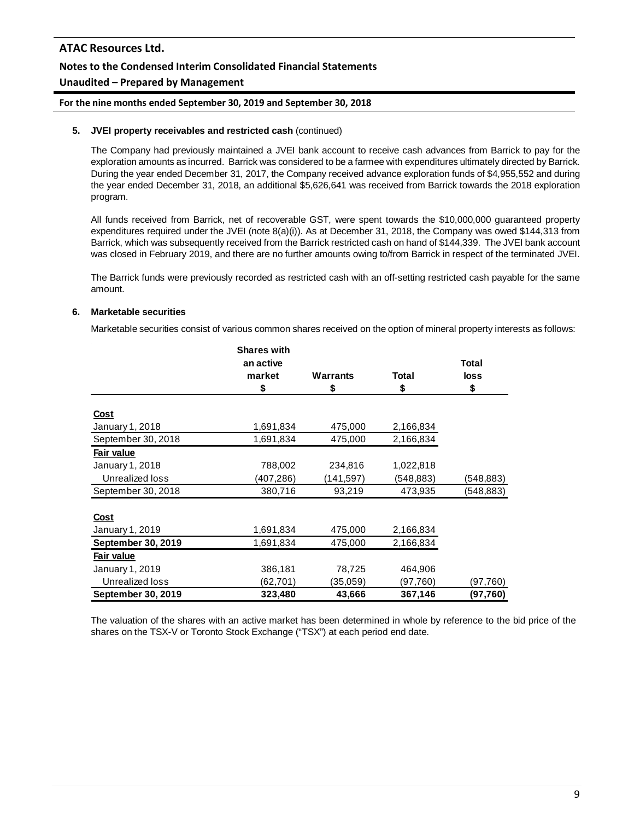# **Notes to the Condensed Interim Consolidated Financial Statements**

## **Unaudited – Prepared by Management**

#### **For the nine months ended September 30, 2019 and September 30, 2018**

#### **5. JVEI property receivables and restricted cash** (continued)

The Company had previously maintained a JVEI bank account to receive cash advances from Barrick to pay for the exploration amounts as incurred. Barrick was considered to be a farmee with expenditures ultimately directed by Barrick. During the year ended December 31, 2017, the Company received advance exploration funds of \$4,955,552 and during the year ended December 31, 2018, an additional \$5,626,641 was received from Barrick towards the 2018 exploration program.

All funds received from Barrick, net of recoverable GST, were spent towards the \$10,000,000 guaranteed property expenditures required under the JVEI (note 8(a)(i)). As at December 31, 2018, the Company was owed \$144,313 from Barrick, which was subsequently received from the Barrick restricted cash on hand of \$144,339. The JVEI bank account was closed in February 2019, and there are no further amounts owing to/from Barrick in respect of the terminated JVEI.

The Barrick funds were previously recorded as restricted cash with an off-setting restricted cash payable for the same amount.

#### **6. Marketable securities**

Marketable securities consist of various common shares received on the option of mineral property interests as follows:

|                           | <b>Shares with</b> |                 |           |            |
|---------------------------|--------------------|-----------------|-----------|------------|
|                           | an active          |                 |           | Total      |
|                           | market             | <b>Warrants</b> | Total     | loss       |
|                           | \$                 | \$              | \$        | \$         |
|                           |                    |                 |           |            |
| <u>Cost</u>               |                    |                 |           |            |
| January 1, 2018           | 1,691,834          | 475,000         | 2,166,834 |            |
| September 30, 2018        | 1,691,834          | 475,000         | 2,166,834 |            |
| Fair value                |                    |                 |           |            |
| January 1, 2018           | 788,002            | 234,816         | 1,022,818 |            |
| Unrealized loss           | (407,286)          | (141,597)       | (548,883) | (548,883)  |
| September 30, 2018        | 380,716            | 93,219          | 473,935   | (548, 883) |
|                           |                    |                 |           |            |
| <u>Cost</u>               |                    |                 |           |            |
| January 1, 2019           | 1,691,834          | 475,000         | 2,166,834 |            |
| <b>September 30, 2019</b> | 1,691,834          | 475,000         | 2,166,834 |            |
| Fair value                |                    |                 |           |            |
| January 1, 2019           | 386,181            | 78,725          | 464,906   |            |
| Unrealized loss           | (62,701)           | (35,059)        | (97,760)  | (97,760)   |
| September 30, 2019        | 323,480            | 43,666          | 367,146   | (97,760)   |

The valuation of the shares with an active market has been determined in whole by reference to the bid price of the shares on the TSX-V or Toronto Stock Exchange ("TSX") at each period end date.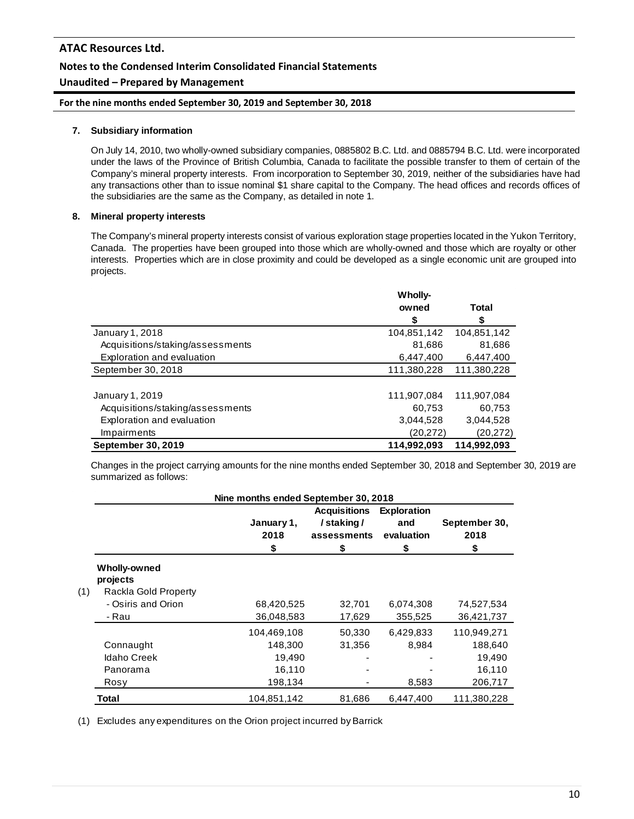# **Notes to the Condensed Interim Consolidated Financial Statements**

# **Unaudited – Prepared by Management**

**For the nine months ended September 30, 2019 and September 30, 2018**

### **7. Subsidiary information**

On July 14, 2010, two wholly-owned subsidiary companies, 0885802 B.C. Ltd. and 0885794 B.C. Ltd. were incorporated under the laws of the Province of British Columbia, Canada to facilitate the possible transfer to them of certain of the Company's mineral property interests. From incorporation to September 30, 2019, neither of the subsidiaries have had any transactions other than to issue nominal \$1 share capital to the Company. The head offices and records offices of the subsidiaries are the same as the Company, as detailed in note 1.

### **8. Mineral property interests**

The Company's mineral property interests consist of various exploration stage properties located in the Yukon Territory, Canada. The properties have been grouped into those which are wholly-owned and those which are royalty or other interests. Properties which are in close proximity and could be developed as a single economic unit are grouped into projects.

|                                  | <b>Wholly-</b> |             |
|----------------------------------|----------------|-------------|
|                                  | owned          | Total       |
|                                  | \$             | \$          |
| January 1, 2018                  | 104,851,142    | 104,851,142 |
| Acquisitions/staking/assessments | 81,686         | 81,686      |
| Exploration and evaluation       | 6,447,400      | 6,447,400   |
| September 30, 2018               | 111,380,228    | 111,380,228 |
|                                  |                |             |
| January 1, 2019                  | 111,907,084    | 111.907.084 |
| Acquisitions/staking/assessments | 60.753         | 60,753      |
| Exploration and evaluation       | 3.044.528      | 3,044,528   |
| Impairments                      | (20, 272)      | (20, 272)   |
| September 30, 2019               | 114,992,093    | 114,992,093 |

Changes in the project carrying amounts for the nine months ended September 30, 2018 and September 30, 2019 are summarized as follows:

| Nine months ended September 30, 2018 |                          |             |                     |                    |               |  |
|--------------------------------------|--------------------------|-------------|---------------------|--------------------|---------------|--|
|                                      |                          |             | <b>Acquisitions</b> | <b>Exploration</b> |               |  |
|                                      |                          | January 1,  | /staking/           | and                | September 30, |  |
|                                      |                          | 2018        | assessments         | evaluation         | 2018          |  |
|                                      |                          | \$          | \$                  | \$                 | \$            |  |
|                                      | Wholly-owned<br>projects |             |                     |                    |               |  |
| (1)                                  | Rackla Gold Property     |             |                     |                    |               |  |
|                                      | - Osiris and Orion       | 68,420,525  | 32,701              | 6,074,308          | 74,527,534    |  |
|                                      | - Rau                    | 36,048,583  | 17,629              | 355,525            | 36,421,737    |  |
|                                      |                          | 104,469,108 | 50,330              | 6,429,833          | 110,949,271   |  |
|                                      | Connaught                | 148,300     | 31,356              | 8,984              | 188,640       |  |
|                                      | <b>Idaho Creek</b>       | 19,490      |                     |                    | 19,490        |  |
|                                      | Panorama                 | 16,110      |                     |                    | 16,110        |  |
|                                      | Rosy                     | 198,134     |                     | 8,583              | 206,717       |  |
|                                      | Total                    | 104,851,142 | 81.686              | 6.447.400          | 111.380.228   |  |

(1) Excludes any expenditures on the Orion project incurred by Barrick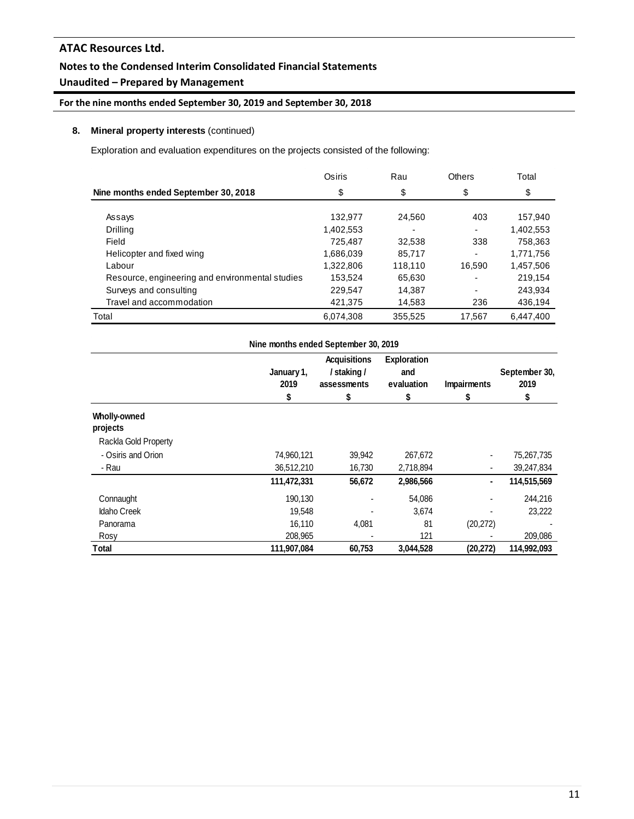# **Notes to the Condensed Interim Consolidated Financial Statements**

# **Unaudited – Prepared by Management**

# **For the nine months ended September 30, 2019 and September 30, 2018**

# **8. Mineral property interests** (continued)

Exploration and evaluation expenditures on the projects consisted of the following:

|                                                 | Osiris    | Rau     | <b>Others</b> | Total     |
|-------------------------------------------------|-----------|---------|---------------|-----------|
| Nine months ended September 30, 2018            | \$        | \$      | \$            | \$        |
|                                                 |           |         |               |           |
| Assays                                          | 132,977   | 24,560  | 403           | 157,940   |
| Drilling                                        | 1,402,553 | ۰       |               | 1,402,553 |
| Field                                           | 725.487   | 32,538  | 338           | 758,363   |
| Helicopter and fixed wing                       | 1,686,039 | 85,717  | -             | 1,771,756 |
| Labour                                          | 1,322,806 | 118,110 | 16.590        | 1,457,506 |
| Resource, engineering and environmental studies | 153,524   | 65,630  |               | 219.154   |
| Surveys and consulting                          | 229,547   | 14,387  |               | 243,934   |
| Travel and accommodation                        | 421.375   | 14,583  | 236           | 436,194   |
| Total                                           | 6,074,308 | 355.525 | 17.567        | 6.447.400 |

|                          | Nine months ended September 30, 2019 |                                                        |                                              |                         |                             |  |  |
|--------------------------|--------------------------------------|--------------------------------------------------------|----------------------------------------------|-------------------------|-----------------------------|--|--|
|                          | January 1,<br>2019<br>S              | <b>Acquisitions</b><br>/ staking /<br>assessments<br>S | <b>Exploration</b><br>and<br>evaluation<br>5 | <b>Impairments</b><br>S | September 30,<br>2019<br>\$ |  |  |
| Wholly-owned<br>projects |                                      |                                                        |                                              |                         |                             |  |  |
| Rackla Gold Property     |                                      |                                                        |                                              |                         |                             |  |  |
| - Osiris and Orion       | 74,960,121                           | 39,942                                                 | 267,672                                      |                         | 75,267,735                  |  |  |
| - Rau                    | 36,512,210                           | 16,730                                                 | 2,718,894                                    |                         | 39,247,834                  |  |  |
|                          | 111,472,331                          | 56,672                                                 | 2,986,566                                    | ٠                       | 114,515,569                 |  |  |
| Connaught                | 190,130                              |                                                        | 54,086                                       |                         | 244,216                     |  |  |
| <b>Idaho Creek</b>       | 19,548                               |                                                        | 3,674                                        |                         | 23,222                      |  |  |
| Panorama                 | 16.110                               | 4,081                                                  | 81                                           | (20, 272)               |                             |  |  |
| Rosy                     | 208,965                              |                                                        | 121                                          |                         | 209,086                     |  |  |
| Total                    | 111,907,084                          | 60,753                                                 | 3,044,528                                    | (20, 272)               | 114,992,093                 |  |  |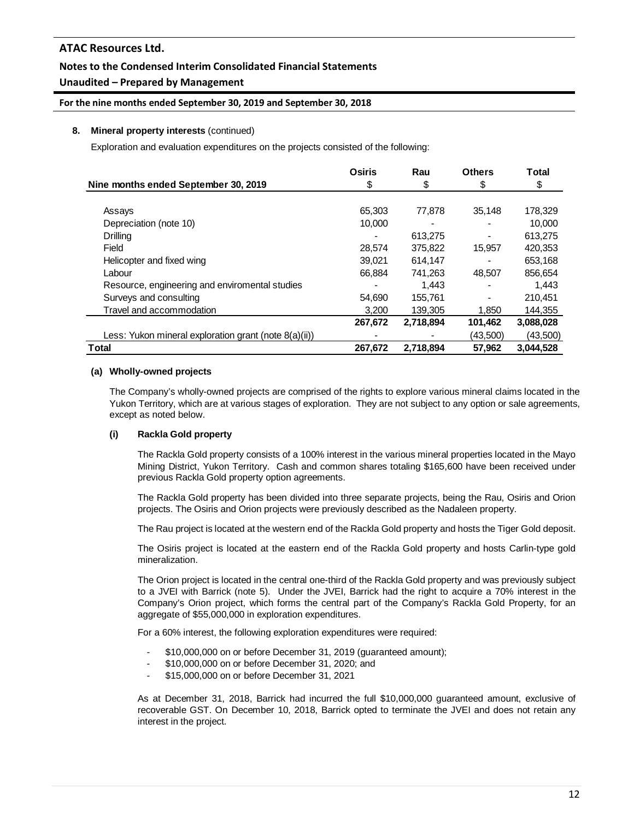# **Notes to the Condensed Interim Consolidated Financial Statements**

# **Unaudited – Prepared by Management**

### **For the nine months ended September 30, 2019 and September 30, 2018**

#### **8. Mineral property interests** (continued)

Exploration and evaluation expenditures on the projects consisted of the following:

|                                                       | <b>Osiris</b> | Rau       | <b>Others</b> | <b>Total</b> |
|-------------------------------------------------------|---------------|-----------|---------------|--------------|
| Nine months ended September 30, 2019                  | \$            | \$        | \$            | \$           |
|                                                       |               |           |               |              |
| Assays                                                | 65,303        | 77.878    | 35.148        | 178,329      |
| Depreciation (note 10)                                | 10.000        |           |               | 10,000       |
| Drilling                                              |               | 613,275   |               | 613,275      |
| Field                                                 | 28,574        | 375,822   | 15,957        | 420,353      |
| Helicopter and fixed wing                             | 39,021        | 614,147   |               | 653,168      |
| Labour                                                | 66,884        | 741,263   | 48,507        | 856,654      |
| Resource, engineering and enviromental studies        |               | 1.443     |               | 1.443        |
| Surveys and consulting                                | 54,690        | 155.761   |               | 210,451      |
| Travel and accommodation                              | 3,200         | 139,305   | 1,850         | 144,355      |
|                                                       | 267,672       | 2,718,894 | 101,462       | 3,088,028    |
| Less: Yukon mineral exploration grant (note 8(a)(ii)) |               |           | (43,500)      | (43,500)     |
| Total                                                 | 267,672       | 2,718,894 | 57,962        | 3,044,528    |

#### **(a) Wholly-owned projects**

The Company's wholly-owned projects are comprised of the rights to explore various mineral claims located in the Yukon Territory, which are at various stages of exploration. They are not subject to any option or sale agreements, except as noted below.

### **(i) Rackla Gold property**

The Rackla Gold property consists of a 100% interest in the various mineral properties located in the Mayo Mining District, Yukon Territory. Cash and common shares totaling \$165,600 have been received under previous Rackla Gold property option agreements.

The Rackla Gold property has been divided into three separate projects, being the Rau, Osiris and Orion projects. The Osiris and Orion projects were previously described as the Nadaleen property.

The Rau project is located at the western end of the Rackla Gold property and hosts the Tiger Gold deposit.

The Osiris project is located at the eastern end of the Rackla Gold property and hosts Carlin-type gold mineralization.

The Orion project is located in the central one-third of the Rackla Gold property and was previously subject to a JVEI with Barrick (note 5). Under the JVEI, Barrick had the right to acquire a 70% interest in the Company's Orion project, which forms the central part of the Company's Rackla Gold Property, for an aggregate of \$55,000,000 in exploration expenditures.

For a 60% interest, the following exploration expenditures were required:

- \$10,000,000 on or before December 31, 2019 (guaranteed amount);
- \$10,000,000 on or before December 31, 2020; and
- \$15,000,000 on or before December 31, 2021

As at December 31, 2018, Barrick had incurred the full \$10,000,000 guaranteed amount, exclusive of recoverable GST. On December 10, 2018, Barrick opted to terminate the JVEI and does not retain any interest in the project.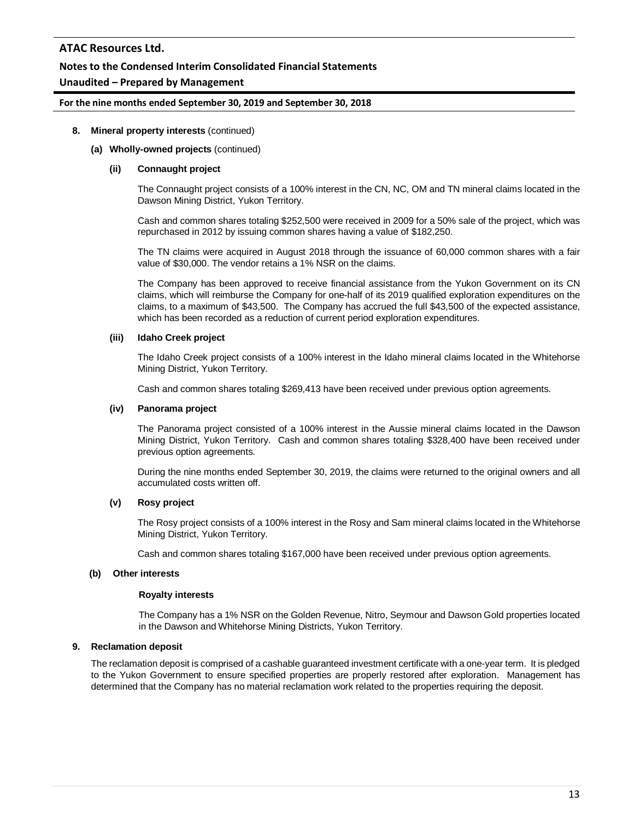### **Notes to the Condensed Interim Consolidated Financial Statements**

# **Unaudited – Prepared by Management**

#### **For the nine months ended September 30, 2019 and September 30, 2018**

#### **8. Mineral property interests** (continued)

#### **(a) Wholly-owned projects** (continued)

#### **(ii) Connaught project**

The Connaught project consists of a 100% interest in the CN, NC, OM and TN mineral claims located in the Dawson Mining District, Yukon Territory.

Cash and common shares totaling \$252,500 were received in 2009 for a 50% sale of the project, which was repurchased in 2012 by issuing common shares having a value of \$182,250.

The TN claims were acquired in August 2018 through the issuance of 60,000 common shares with a fair value of \$30,000. The vendor retains a 1% NSR on the claims.

The Company has been approved to receive financial assistance from the Yukon Government on its CN claims, which will reimburse the Company for one-half of its 2019 qualified exploration expenditures on the claims, to a maximum of \$43,500. The Company has accrued the full \$43,500 of the expected assistance, which has been recorded as a reduction of current period exploration expenditures.

#### **(iii) Idaho Creek project**

The Idaho Creek project consists of a 100% interest in the Idaho mineral claims located in the Whitehorse Mining District, Yukon Territory.

Cash and common shares totaling \$269,413 have been received under previous option agreements.

#### **(iv) Panorama project**

The Panorama project consisted of a 100% interest in the Aussie mineral claims located in the Dawson Mining District, Yukon Territory. Cash and common shares totaling \$328,400 have been received under previous option agreements.

During the nine months ended September 30, 2019, the claims were returned to the original owners and all accumulated costs written off.

### **(v) Rosy project**

The Rosy project consists of a 100% interest in the Rosy and Sam mineral claims located in the Whitehorse Mining District, Yukon Territory.

Cash and common shares totaling \$167,000 have been received under previous option agreements.

#### **(b) Other interests**

#### **Royalty interests**

The Company has a 1% NSR on the Golden Revenue, Nitro, Seymour and Dawson Gold properties located in the Dawson and Whitehorse Mining Districts, Yukon Territory.

### **9. Reclamation deposit**

The reclamation deposit is comprised of a cashable guaranteed investment certificate with a one-year term. It is pledged to the Yukon Government to ensure specified properties are properly restored after exploration. Management has determined that the Company has no material reclamation work related to the properties requiring the deposit.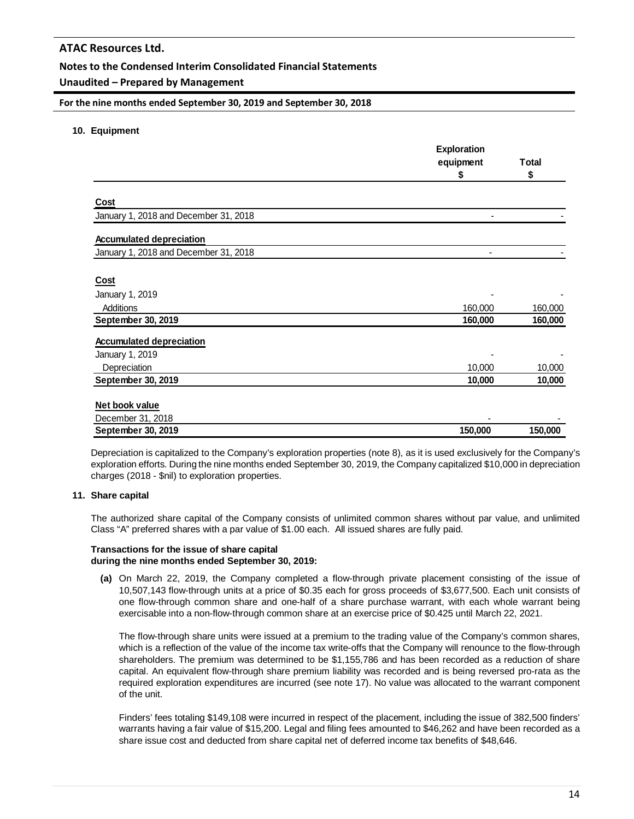## **Notes to the Condensed Interim Consolidated Financial Statements**

### **Unaudited – Prepared by Management**

#### **For the nine months ended September 30, 2019 and September 30, 2018**

#### **10. Equipment**

|                                       | <b>Exploration</b> |              |
|---------------------------------------|--------------------|--------------|
|                                       | equipment          | <b>Total</b> |
|                                       | S                  | S            |
| Cost                                  |                    |              |
| January 1, 2018 and December 31, 2018 |                    |              |
| <b>Accumulated depreciation</b>       |                    |              |
| January 1, 2018 and December 31, 2018 |                    |              |
| <b>Cost</b>                           |                    |              |
| January 1, 2019                       |                    |              |
| Additions                             | 160,000            | 160,000      |
| September 30, 2019                    | 160,000            | 160,000      |
| <b>Accumulated depreciation</b>       |                    |              |
| January 1, 2019                       |                    |              |
| Depreciation                          | 10,000             | 10,000       |
| September 30, 2019                    | 10,000             | 10,000       |
| Net book value                        |                    |              |
| December 31, 2018                     |                    |              |
| September 30, 2019                    | 150,000            | 150,000      |

Depreciation is capitalized to the Company's exploration properties (note 8), as it is used exclusively for the Company's exploration efforts. During the nine months ended September 30, 2019, the Company capitalized \$10,000 in depreciation charges (2018 - \$nil) to exploration properties.

### **11. Share capital**

The authorized share capital of the Company consists of unlimited common shares without par value, and unlimited Class "A" preferred shares with a par value of \$1.00 each. All issued shares are fully paid.

#### **Transactions for the issue of share capital during the nine months ended September 30, 2019:**

**(a)** On March 22, 2019, the Company completed a flow-through private placement consisting of the issue of 10,507,143 flow-through units at a price of \$0.35 each for gross proceeds of \$3,677,500. Each unit consists of one flow-through common share and one-half of a share purchase warrant, with each whole warrant being exercisable into a non-flow-through common share at an exercise price of \$0.425 until March 22, 2021.

The flow-through share units were issued at a premium to the trading value of the Company's common shares, which is a reflection of the value of the income tax write-offs that the Company will renounce to the flow-through shareholders. The premium was determined to be \$1,155,786 and has been recorded as a reduction of share capital. An equivalent flow-through share premium liability was recorded and is being reversed pro-rata as the required exploration expenditures are incurred (see note 17). No value was allocated to the warrant component of the unit.

Finders' fees totaling \$149,108 were incurred in respect of the placement, including the issue of 382,500 finders' warrants having a fair value of \$15,200. Legal and filing fees amounted to \$46,262 and have been recorded as a share issue cost and deducted from share capital net of deferred income tax benefits of \$48,646.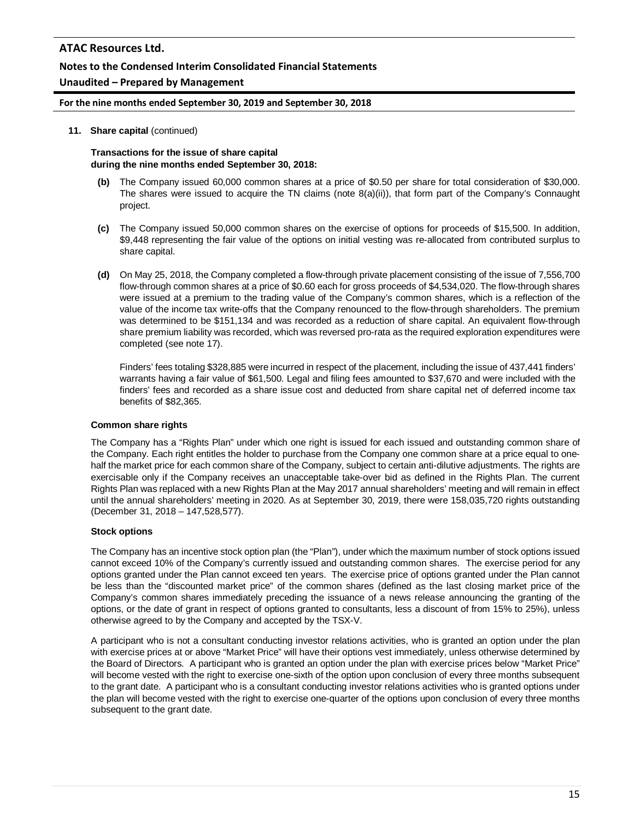### **Notes to the Condensed Interim Consolidated Financial Statements**

### **Unaudited – Prepared by Management**

#### **For the nine months ended September 30, 2019 and September 30, 2018**

#### **11. Share capital** (continued)

#### **Transactions for the issue of share capital during the nine months ended September 30, 2018:**

- **(b)** The Company issued 60,000 common shares at a price of \$0.50 per share for total consideration of \$30,000. The shares were issued to acquire the TN claims (note 8(a)(ii)), that form part of the Company's Connaught project.
- **(c)** The Company issued 50,000 common shares on the exercise of options for proceeds of \$15,500. In addition, \$9,448 representing the fair value of the options on initial vesting was re-allocated from contributed surplus to share capital.
- **(d)** On May 25, 2018, the Company completed a flow-through private placement consisting of the issue of 7,556,700 flow-through common shares at a price of \$0.60 each for gross proceeds of \$4,534,020. The flow-through shares were issued at a premium to the trading value of the Company's common shares, which is a reflection of the value of the income tax write-offs that the Company renounced to the flow-through shareholders. The premium was determined to be \$151,134 and was recorded as a reduction of share capital. An equivalent flow-through share premium liability was recorded, which was reversed pro-rata as the required exploration expenditures were completed (see note 17).

Finders' fees totaling \$328,885 were incurred in respect of the placement, including the issue of 437,441 finders' warrants having a fair value of \$61,500. Legal and filing fees amounted to \$37,670 and were included with the finders' fees and recorded as a share issue cost and deducted from share capital net of deferred income tax benefits of \$82,365.

#### **Common share rights**

The Company has a "Rights Plan" under which one right is issued for each issued and outstanding common share of the Company. Each right entitles the holder to purchase from the Company one common share at a price equal to onehalf the market price for each common share of the Company, subject to certain anti-dilutive adjustments. The rights are exercisable only if the Company receives an unacceptable take-over bid as defined in the Rights Plan. The current Rights Plan was replaced with a new Rights Plan at the May 2017 annual shareholders' meeting and will remain in effect until the annual shareholders' meeting in 2020. As at September 30, 2019, there were 158,035,720 rights outstanding (December 31, 2018 – 147,528,577).

#### **Stock options**

The Company has an incentive stock option plan (the "Plan"), under which the maximum number of stock options issued cannot exceed 10% of the Company's currently issued and outstanding common shares. The exercise period for any options granted under the Plan cannot exceed ten years. The exercise price of options granted under the Plan cannot be less than the "discounted market price" of the common shares (defined as the last closing market price of the Company's common shares immediately preceding the issuance of a news release announcing the granting of the options, or the date of grant in respect of options granted to consultants, less a discount of from 15% to 25%), unless otherwise agreed to by the Company and accepted by the TSX-V.

A participant who is not a consultant conducting investor relations activities, who is granted an option under the plan with exercise prices at or above "Market Price" will have their options vest immediately, unless otherwise determined by the Board of Directors. A participant who is granted an option under the plan with exercise prices below "Market Price" will become vested with the right to exercise one-sixth of the option upon conclusion of every three months subsequent to the grant date. A participant who is a consultant conducting investor relations activities who is granted options under the plan will become vested with the right to exercise one-quarter of the options upon conclusion of every three months subsequent to the grant date.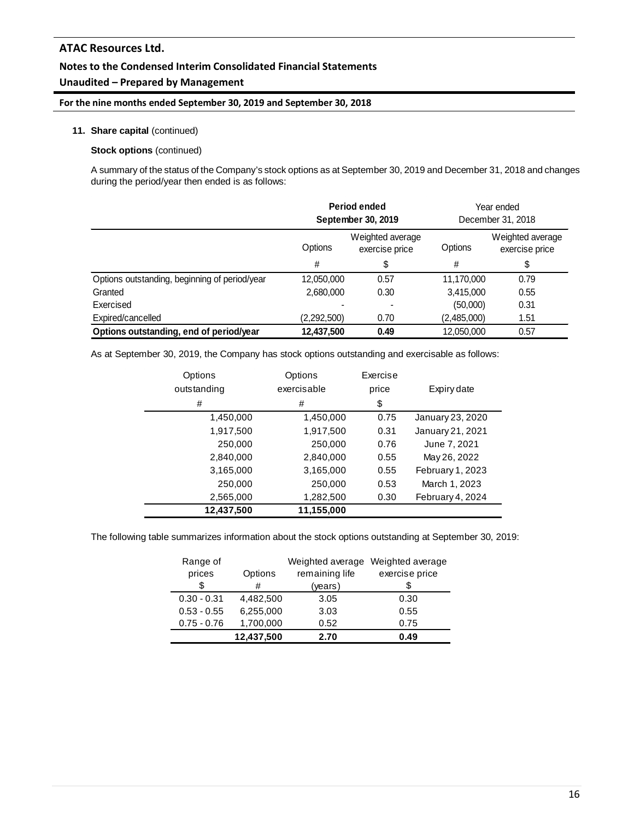## **Notes to the Condensed Interim Consolidated Financial Statements**

# **Unaudited – Prepared by Management**

### **For the nine months ended September 30, 2019 and September 30, 2018**

#### **11. Share capital** (continued)

#### **Stock options** (continued)

A summary of the status of the Company's stock options as at September 30, 2019 and December 31, 2018 and changes during the period/year then ended is as follows:

|                                               | Period ended<br>September 30, 2019 |                                    |             | Year ended<br>December 31, 2018    |  |
|-----------------------------------------------|------------------------------------|------------------------------------|-------------|------------------------------------|--|
|                                               | Options                            | Weighted average<br>exercise price | Options     | Weighted average<br>exercise price |  |
|                                               | #                                  | \$                                 | #           | \$                                 |  |
| Options outstanding, beginning of period/year | 12,050,000                         | 0.57                               | 11,170,000  | 0.79                               |  |
| Granted                                       | 2,680,000                          | 0.30                               | 3,415,000   | 0.55                               |  |
| Exercised                                     |                                    |                                    | (50,000)    | 0.31                               |  |
| Expired/cancelled                             | (2,292,500)                        | 0.70                               | (2,485,000) | 1.51                               |  |
| Options outstanding, end of period/year       | 12,437,500                         | 0.49                               | 12,050,000  | 0.57                               |  |

As at September 30, 2019, the Company has stock options outstanding and exercisable as follows:

| Options<br>outstanding | Options<br>exercisable | Exercise<br>price | Expiry date      |
|------------------------|------------------------|-------------------|------------------|
| #                      | #                      | \$                |                  |
| 1,450,000              | 1,450,000              | 0.75              | January 23, 2020 |
| 1,917,500              | 1,917,500              | 0.31              | January 21, 2021 |
| 250,000                | 250,000                | 0.76              | June 7, 2021     |
| 2,840,000              | 2,840,000              | 0.55              | May 26, 2022     |
| 3,165,000              | 3,165,000              | 0.55              | February 1, 2023 |
| 250,000                | 250,000                | 0.53              | March 1, 2023    |
| 2,565,000              | 1,282,500              | 0.30              | February 4, 2024 |
| 12,437,500             | 11,155,000             |                   |                  |

The following table summarizes information about the stock options outstanding at September 30, 2019:

| Range of      |            |                | Weighted average Weighted average |
|---------------|------------|----------------|-----------------------------------|
| prices        | Options    | remaining life | exercise price                    |
| \$            | #          | (years)        |                                   |
| $0.30 - 0.31$ | 4,482,500  | 3.05           | 0.30                              |
| $0.53 - 0.55$ | 6,255,000  | 3.03           | 0.55                              |
| $0.75 - 0.76$ | 1,700,000  | 0.52           | 0.75                              |
|               | 12,437,500 | 2.70           | 0.49                              |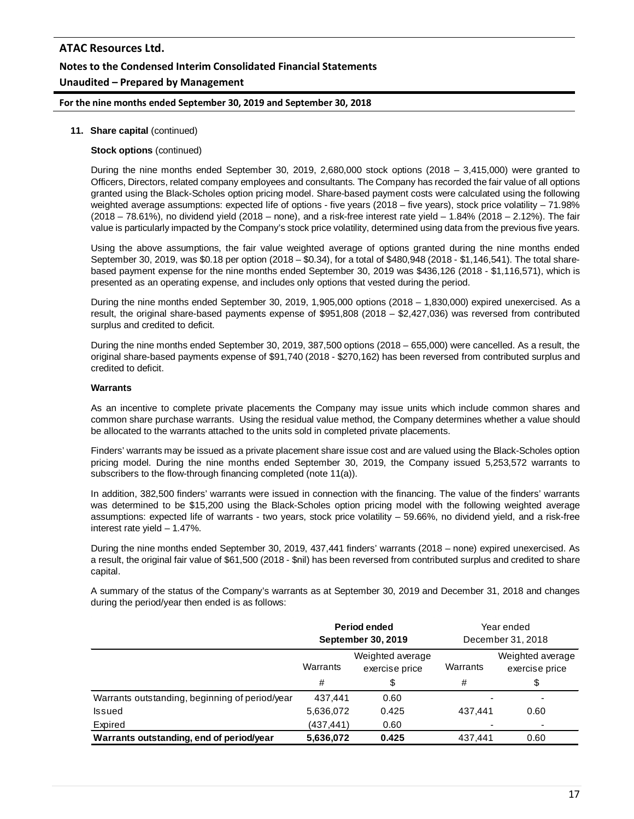# **ATAC Resources Ltd. Notes to the Condensed Interim Consolidated Financial Statements Unaudited – Prepared by Management**

#### **For the nine months ended September 30, 2019 and September 30, 2018**

#### **11. Share capital** (continued)

#### **Stock options** (continued)

During the nine months ended September 30, 2019, 2,680,000 stock options (2018 – 3,415,000) were granted to Officers, Directors, related company employees and consultants. The Company has recorded the fair value of all options granted using the Black-Scholes option pricing model. Share-based payment costs were calculated using the following weighted average assumptions: expected life of options - five years (2018 – five years), stock price volatility – 71.98% (2018 – 78.61%), no dividend yield (2018 – none), and a risk-free interest rate yield – 1.84% (2018 – 2.12%). The fair value is particularly impacted by the Company's stock price volatility, determined using data from the previous five years.

Using the above assumptions, the fair value weighted average of options granted during the nine months ended September 30, 2019, was \$0.18 per option (2018 – \$0.34), for a total of \$480,948 (2018 - \$1,146,541). The total sharebased payment expense for the nine months ended September 30, 2019 was \$436,126 (2018 - \$1,116,571), which is presented as an operating expense, and includes only options that vested during the period.

During the nine months ended September 30, 2019, 1,905,000 options (2018 – 1,830,000) expired unexercised. As a result, the original share-based payments expense of \$951,808 (2018 – \$2,427,036) was reversed from contributed surplus and credited to deficit.

During the nine months ended September 30, 2019, 387,500 options (2018 – 655,000) were cancelled. As a result, the original share-based payments expense of \$91,740 (2018 - \$270,162) has been reversed from contributed surplus and credited to deficit.

#### **Warrants**

As an incentive to complete private placements the Company may issue units which include common shares and common share purchase warrants. Using the residual value method, the Company determines whether a value should be allocated to the warrants attached to the units sold in completed private placements.

Finders' warrants may be issued as a private placement share issue cost and are valued using the Black-Scholes option pricing model. During the nine months ended September 30, 2019, the Company issued 5,253,572 warrants to subscribers to the flow-through financing completed (note 11(a)).

In addition, 382,500 finders' warrants were issued in connection with the financing. The value of the finders' warrants was determined to be \$15,200 using the Black-Scholes option pricing model with the following weighted average assumptions: expected life of warrants - two years, stock price volatility – 59.66%, no dividend yield, and a risk-free interest rate yield – 1.47%.

During the nine months ended September 30, 2019, 437,441 finders' warrants (2018 – none) expired unexercised. As a result, the original fair value of \$61,500 (2018 - \$nil) has been reversed from contributed surplus and credited to share capital.

A summary of the status of the Company's warrants as at September 30, 2019 and December 31, 2018 and changes during the period/year then ended is as follows:

|                                                | <b>Period ended</b><br>September 30, 2019 |                                    |          | Year ended<br>December 31, 2018    |  |
|------------------------------------------------|-------------------------------------------|------------------------------------|----------|------------------------------------|--|
|                                                | Warrants                                  | Weighted average<br>exercise price | Warrants | Weighted average<br>exercise price |  |
|                                                | #                                         | \$                                 | #        | \$                                 |  |
| Warrants outstanding, beginning of period/year | 437.441                                   | 0.60                               |          |                                    |  |
| <b>Issued</b>                                  | 5,636,072                                 | 0.425                              | 437.441  | 0.60                               |  |
| Expired                                        | (437,441)                                 | 0.60                               |          |                                    |  |
| Warrants outstanding, end of period/year       | 5,636,072                                 | 0.425                              | 437.441  | 0.60                               |  |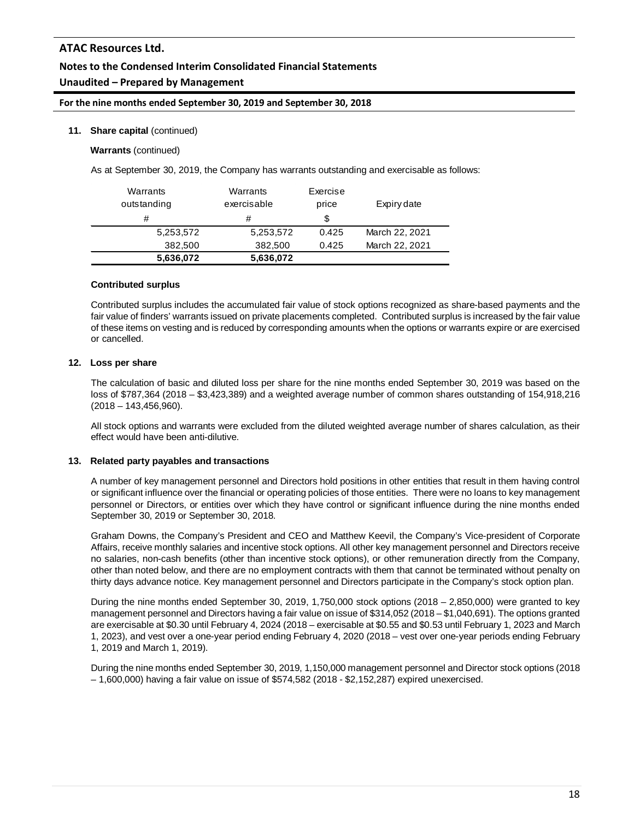# **Notes to the Condensed Interim Consolidated Financial Statements**

# **Unaudited – Prepared by Management**

### **For the nine months ended September 30, 2019 and September 30, 2018**

#### **11. Share capital** (continued)

**Warrants** (continued)

As at September 30, 2019, the Company has warrants outstanding and exercisable as follows:

| Warrants    | Warrants    | Exercise | Expiry date    |
|-------------|-------------|----------|----------------|
| outstanding | exercisable | price    |                |
| #           | #           | S        |                |
| 5,253,572   | 5,253,572   | 0.425    | March 22, 2021 |
| 382,500     | 382,500     | 0.425    | March 22, 2021 |
| 5,636,072   | 5,636,072   |          |                |

#### **Contributed surplus**

Contributed surplus includes the accumulated fair value of stock options recognized as share-based payments and the fair value of finders' warrants issued on private placements completed. Contributed surplus is increased by the fair value of these items on vesting and is reduced by corresponding amounts when the options or warrants expire or are exercised or cancelled.

#### **12. Loss per share**

The calculation of basic and diluted loss per share for the nine months ended September 30, 2019 was based on the loss of \$787,364 (2018 – \$3,423,389) and a weighted average number of common shares outstanding of 154,918,216 (2018 – 143,456,960).

All stock options and warrants were excluded from the diluted weighted average number of shares calculation, as their effect would have been anti-dilutive.

#### **13. Related party payables and transactions**

A number of key management personnel and Directors hold positions in other entities that result in them having control or significant influence over the financial or operating policies of those entities. There were no loans to key management personnel or Directors, or entities over which they have control or significant influence during the nine months ended September 30, 2019 or September 30, 2018.

Graham Downs, the Company's President and CEO and Matthew Keevil, the Company's Vice-president of Corporate Affairs, receive monthly salaries and incentive stock options. All other key management personnel and Directors receive no salaries, non-cash benefits (other than incentive stock options), or other remuneration directly from the Company, other than noted below, and there are no employment contracts with them that cannot be terminated without penalty on thirty days advance notice. Key management personnel and Directors participate in the Company's stock option plan.

During the nine months ended September 30, 2019, 1,750,000 stock options (2018 – 2,850,000) were granted to key management personnel and Directors having a fair value on issue of \$314,052 (2018 – \$1,040,691). The options granted are exercisable at \$0.30 until February 4, 2024 (2018 – exercisable at \$0.55 and \$0.53 until February 1, 2023 and March 1, 2023), and vest over a one-year period ending February 4, 2020 (2018 – vest over one-year periods ending February 1, 2019 and March 1, 2019).

During the nine months ended September 30, 2019, 1,150,000 management personnel and Director stock options (2018 – 1,600,000) having a fair value on issue of \$574,582 (2018 - \$2,152,287) expired unexercised.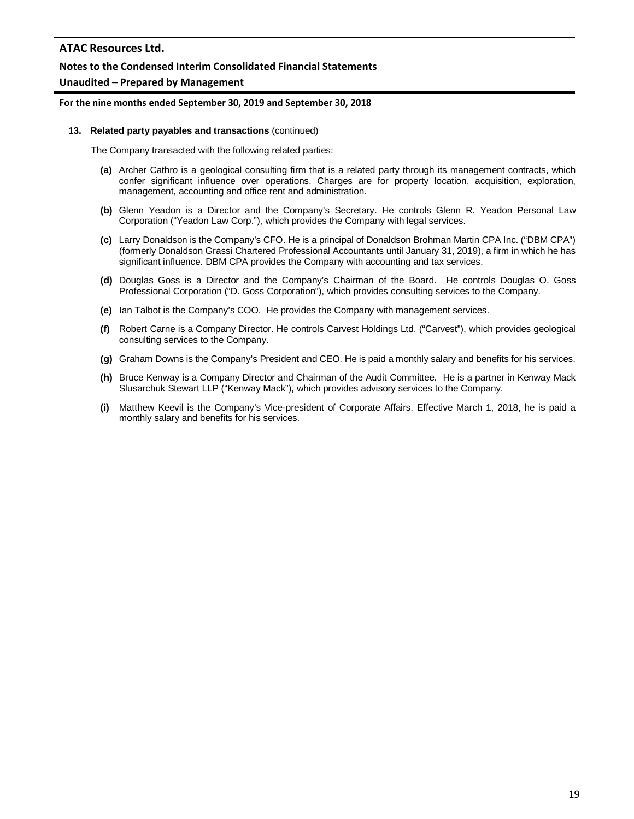### **Notes to the Condensed Interim Consolidated Financial Statements**

#### **Unaudited – Prepared by Management**

#### **For the nine months ended September 30, 2019 and September 30, 2018**

#### **13. Related party payables and transactions** (continued)

The Company transacted with the following related parties:

- **(a)** Archer Cathro is a geological consulting firm that is a related party through its management contracts, which confer significant influence over operations. Charges are for property location, acquisition, exploration, management, accounting and office rent and administration.
- **(b)** Glenn Yeadon is a Director and the Company's Secretary. He controls Glenn R. Yeadon Personal Law Corporation ("Yeadon Law Corp."), which provides the Company with legal services.
- **(c)** Larry Donaldson is the Company's CFO. He is a principal of Donaldson Brohman Martin CPA Inc. ("DBM CPA") (formerly Donaldson Grassi Chartered Professional Accountants until January 31, 2019), a firm in which he has significant influence. DBM CPA provides the Company with accounting and tax services.
- **(d)** Douglas Goss is a Director and the Company's Chairman of the Board. He controls Douglas O. Goss Professional Corporation ("D. Goss Corporation"), which provides consulting services to the Company.
- **(e)** Ian Talbot is the Company's COO. He provides the Company with management services.
- **(f)** Robert Carne is a Company Director. He controls Carvest Holdings Ltd. ("Carvest"), which provides geological consulting services to the Company.
- **(g)** Graham Downs is the Company's President and CEO. He is paid a monthly salary and benefits for his services.
- **(h)** Bruce Kenway is a Company Director and Chairman of the Audit Committee. He is a partner in Kenway Mack Slusarchuk Stewart LLP ("Kenway Mack"), which provides advisory services to the Company.
- **(i)** Matthew Keevil is the Company's Vice-president of Corporate Affairs. Effective March 1, 2018, he is paid a monthly salary and benefits for his services.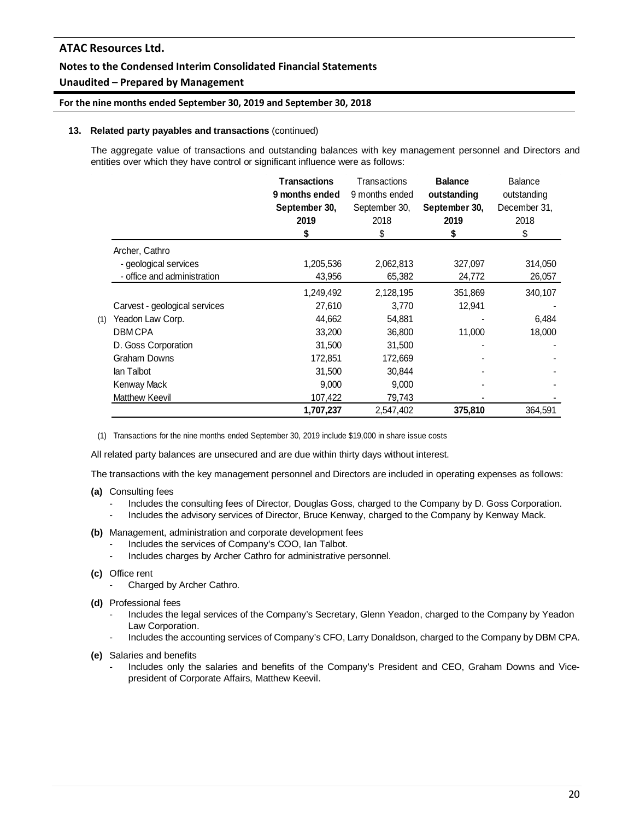# **Notes to the Condensed Interim Consolidated Financial Statements**

# **Unaudited – Prepared by Management**

### **For the nine months ended September 30, 2019 and September 30, 2018**

#### **13. Related party payables and transactions** (continued)

The aggregate value of transactions and outstanding balances with key management personnel and Directors and entities over which they have control or significant influence were as follows:

|     |                               | <b>Transactions</b><br>9 months ended<br>September 30,<br>2019<br>\$ | Transactions<br>9 months ended<br>September 30,<br>2018<br>\$ | <b>Balance</b><br>outstanding<br>September 30,<br>2019<br>\$ | <b>Balance</b><br>outstanding<br>December 31.<br>2018<br>\$ |
|-----|-------------------------------|----------------------------------------------------------------------|---------------------------------------------------------------|--------------------------------------------------------------|-------------------------------------------------------------|
|     | Archer, Cathro                |                                                                      |                                                               |                                                              |                                                             |
|     | - geological services         | 1,205,536                                                            | 2,062,813                                                     | 327,097                                                      | 314,050                                                     |
|     | - office and administration   | 43,956                                                               | 65,382                                                        | 24,772                                                       | 26,057                                                      |
|     |                               | 1,249,492                                                            | 2,128,195                                                     | 351,869                                                      | 340,107                                                     |
|     | Carvest - geological services | 27,610                                                               | 3,770                                                         | 12,941                                                       |                                                             |
| (1) | Yeadon Law Corp.              | 44,662                                                               | 54,881                                                        |                                                              | 6,484                                                       |
|     | <b>DBMCPA</b>                 | 33,200                                                               | 36,800                                                        | 11,000                                                       | 18,000                                                      |
|     | D. Goss Corporation           | 31,500                                                               | 31,500                                                        |                                                              |                                                             |
|     | Graham Downs                  | 172,851                                                              | 172,669                                                       |                                                              |                                                             |
|     | lan Talbot                    | 31,500                                                               | 30,844                                                        |                                                              |                                                             |
|     | Kenway Mack                   | 9,000                                                                | 9,000                                                         |                                                              |                                                             |
|     | Matthew Keevil                | 107,422                                                              | 79,743                                                        |                                                              |                                                             |
|     |                               | 1,707,237                                                            | 2,547,402                                                     | 375,810                                                      | 364,591                                                     |

(1) Transactions for the nine months ended September 30, 2019 include \$19,000 in share issue costs

All related party balances are unsecured and are due within thirty days without interest.

The transactions with the key management personnel and Directors are included in operating expenses as follows:

- **(a)** Consulting fees
	- Includes the consulting fees of Director, Douglas Goss, charged to the Company by D. Goss Corporation.
	- Includes the advisory services of Director, Bruce Kenway, charged to the Company by Kenway Mack.
- **(b)** Management, administration and corporate development fees
	- Includes the services of Company's COO, Ian Talbot.
	- Includes charges by Archer Cathro for administrative personnel.
- **(c)** Office rent
	- Charged by Archer Cathro.
- **(d)** Professional fees
	- Includes the legal services of the Company's Secretary, Glenn Yeadon, charged to the Company by Yeadon Law Corporation.
	- Includes the accounting services of Company's CFO, Larry Donaldson, charged to the Company by DBM CPA.

**(e)** Salaries and benefits

Includes only the salaries and benefits of the Company's President and CEO, Graham Downs and Vicepresident of Corporate Affairs, Matthew Keevil.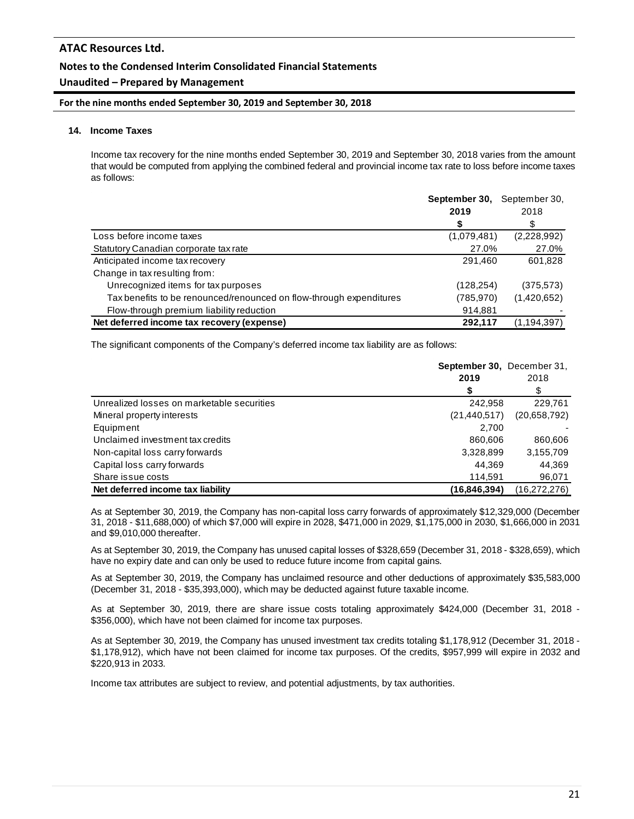# **Notes to the Condensed Interim Consolidated Financial Statements**

# **Unaudited – Prepared by Management**

#### **For the nine months ended September 30, 2019 and September 30, 2018**

#### **14. Income Taxes**

Income tax recovery for the nine months ended September 30, 2019 and September 30, 2018 varies from the amount that would be computed from applying the combined federal and provincial income tax rate to loss before income taxes as follows:

|                                                                     | September 30, | September 30, |  |
|---------------------------------------------------------------------|---------------|---------------|--|
|                                                                     | 2019          | 2018          |  |
|                                                                     | S             | \$            |  |
| Loss before income taxes                                            | (1,079,481)   | (2,228,992)   |  |
| Statutory Canadian corporate tax rate                               | 27.0%         | 27.0%         |  |
| Anticipated income tax recovery                                     | 291.460       | 601,828       |  |
| Change in tax resulting from:                                       |               |               |  |
| Unrecognized items for tax purposes                                 | (128, 254)    | (375, 573)    |  |
| Tax benefits to be renounced/renounced on flow-through expenditures | (785,970)     | (1,420,652)   |  |
| Flow-through premium liability reduction                            | 914,881       |               |  |
| Net deferred income tax recovery (expense)                          | 292,117       | (1, 194, 397) |  |

The significant components of the Company's deferred income tax liability are as follows:

|                                            | September 30, December 31,<br>2019 | 2018           |  |
|--------------------------------------------|------------------------------------|----------------|--|
|                                            |                                    |                |  |
| Unrealized losses on marketable securities | 242,958                            | 229,761        |  |
| Mineral property interests                 | (21, 440, 517)                     | (20,658,792)   |  |
| Equipment                                  | 2.700                              |                |  |
| Unclaimed investment tax credits           | 860,606                            | 860,606        |  |
| Non-capital loss carry forwards            | 3,328,899                          | 3,155,709      |  |
| Capital loss carry forwards                | 44.369                             | 44,369         |  |
| Share issue costs                          | 114,591                            | 96,071         |  |
| Net deferred income tax liability          | (16, 846, 394)                     | (16, 272, 276) |  |

As at September 30, 2019, the Company has non-capital loss carry forwards of approximately \$12,329,000 (December 31, 2018 - \$11,688,000) of which \$7,000 will expire in 2028, \$471,000 in 2029, \$1,175,000 in 2030, \$1,666,000 in 2031 and \$9,010,000 thereafter.

As at September 30, 2019, the Company has unused capital losses of \$328,659 (December 31, 2018 - \$328,659), which have no expiry date and can only be used to reduce future income from capital gains.

As at September 30, 2019, the Company has unclaimed resource and other deductions of approximately \$35,583,000 (December 31, 2018 - \$35,393,000), which may be deducted against future taxable income.

As at September 30, 2019, there are share issue costs totaling approximately \$424,000 (December 31, 2018 - \$356,000), which have not been claimed for income tax purposes.

As at September 30, 2019, the Company has unused investment tax credits totaling \$1,178,912 (December 31, 2018 - \$1,178,912), which have not been claimed for income tax purposes. Of the credits, \$957,999 will expire in 2032 and \$220,913 in 2033.

Income tax attributes are subject to review, and potential adjustments, by tax authorities.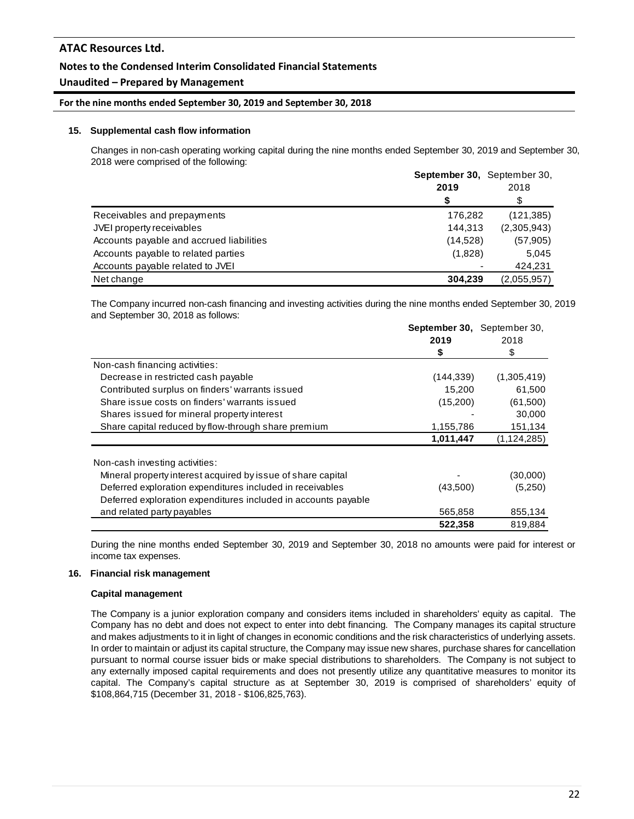# **Notes to the Condensed Interim Consolidated Financial Statements**

# **Unaudited – Prepared by Management**

#### **For the nine months ended September 30, 2019 and September 30, 2018**

#### **15. Supplemental cash flow information**

Changes in non-cash operating working capital during the nine months ended September 30, 2019 and September 30, 2018 were comprised of the following:

|                                          | September 30, September 30, | 2018        |  |
|------------------------------------------|-----------------------------|-------------|--|
|                                          | 2019                        |             |  |
|                                          | \$                          | \$          |  |
| Receivables and prepayments              | 176,282                     | (121, 385)  |  |
| JVEI property receivables                | 144,313                     | (2,305,943) |  |
| Accounts payable and accrued liabilities | (14,528)                    | (57, 905)   |  |
| Accounts payable to related parties      | (1,828)                     | 5,045       |  |
| Accounts payable related to JVEI         |                             | 424.231     |  |
| Net change                               | 304.239                     | (2,055,957) |  |

The Company incurred non-cash financing and investing activities during the nine months ended September 30, 2019 and September 30, 2018 as follows:

|                                                                | <b>September 30.</b> September 30. |               |  |
|----------------------------------------------------------------|------------------------------------|---------------|--|
|                                                                | 2019                               | 2018          |  |
|                                                                | \$                                 | \$            |  |
| Non-cash financing activities:                                 |                                    |               |  |
| Decrease in restricted cash payable                            | (144, 339)                         | (1,305,419)   |  |
| Contributed surplus on finders' warrants issued                | 15,200                             | 61,500        |  |
| Share issue costs on finders' warrants issued                  | (15,200)                           | (61,500)      |  |
| Shares issued for mineral property interest                    |                                    | 30,000        |  |
| Share capital reduced by flow-through share premium            | 1,155,786                          | 151,134       |  |
|                                                                | 1,011,447                          | (1, 124, 285) |  |
| Non-cash investing activities:                                 |                                    |               |  |
| Mineral property interest acquired by issue of share capital   |                                    | (30,000)      |  |
| Deferred exploration expenditures included in receivables      | (43,500)                           | (5,250)       |  |
| Deferred exploration expenditures included in accounts payable |                                    |               |  |
| and related party payables                                     | 565,858                            | 855,134       |  |
|                                                                | 522,358                            | 819,884       |  |

During the nine months ended September 30, 2019 and September 30, 2018 no amounts were paid for interest or income tax expenses.

#### **16. Financial risk management**

#### **Capital management**

The Company is a junior exploration company and considers items included in shareholders' equity as capital. The Company has no debt and does not expect to enter into debt financing. The Company manages its capital structure and makes adjustments to it in light of changes in economic conditions and the risk characteristics of underlying assets. In order to maintain or adjust its capital structure, the Company may issue new shares, purchase shares for cancellation pursuant to normal course issuer bids or make special distributions to shareholders. The Company is not subject to any externally imposed capital requirements and does not presently utilize any quantitative measures to monitor its capital. The Company's capital structure as at September 30, 2019 is comprised of shareholders' equity of \$108,864,715 (December 31, 2018 - \$106,825,763).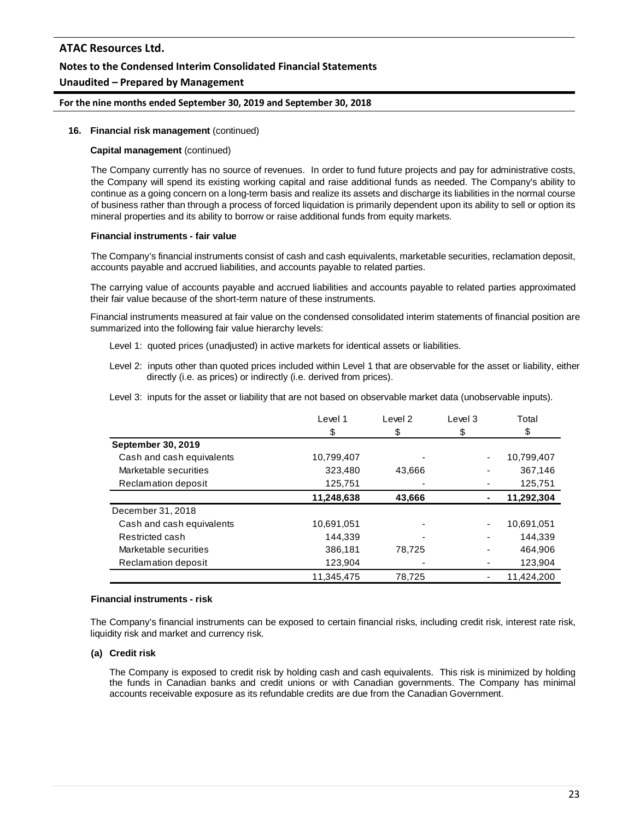# **ATAC Resources Ltd. Notes to the Condensed Interim Consolidated Financial Statements Unaudited – Prepared by Management**

# **For the nine months ended September 30, 2019 and September 30, 2018**

#### **16. Financial risk management** (continued)

#### **Capital management** (continued)

The Company currently has no source of revenues. In order to fund future projects and pay for administrative costs, the Company will spend its existing working capital and raise additional funds as needed. The Company's ability to continue as a going concern on a long-term basis and realize its assets and discharge its liabilities in the normal course of business rather than through a process of forced liquidation is primarily dependent upon its ability to sell or option its mineral properties and its ability to borrow or raise additional funds from equity markets.

#### **Financial instruments - fair value**

The Company's financial instruments consist of cash and cash equivalents, marketable securities, reclamation deposit, accounts payable and accrued liabilities, and accounts payable to related parties.

The carrying value of accounts payable and accrued liabilities and accounts payable to related parties approximated their fair value because of the short-term nature of these instruments.

Financial instruments measured at fair value on the condensed consolidated interim statements of financial position are summarized into the following fair value hierarchy levels:

- Level 1: quoted prices (unadjusted) in active markets for identical assets or liabilities.
- Level 2: inputs other than quoted prices included within Level 1 that are observable for the asset or liability, either directly (i.e. as prices) or indirectly (i.e. derived from prices).
- Level 3: inputs for the asset or liability that are not based on observable market data (unobservable inputs).

|                           | Level 1<br>\$ | Level <sub>2</sub><br>\$ | Level 3<br>\$ | Total<br>\$ |
|---------------------------|---------------|--------------------------|---------------|-------------|
|                           |               |                          |               |             |
| September 30, 2019        |               |                          |               |             |
| Cash and cash equivalents | 10,799,407    |                          | ۰             | 10,799,407  |
| Marketable securities     | 323,480       | 43,666                   |               | 367,146     |
| Reclamation deposit       | 125,751       |                          |               | 125,751     |
|                           | 11,248,638    | 43,666                   |               | 11,292,304  |
| December 31, 2018         |               |                          |               |             |
| Cash and cash equivalents | 10,691,051    |                          |               | 10,691,051  |
| Restricted cash           | 144.339       |                          |               | 144.339     |
| Marketable securities     | 386,181       | 78,725                   |               | 464,906     |
| Reclamation deposit       | 123,904       |                          |               | 123,904     |
|                           | 11.345.475    | 78.725                   |               | 11.424.200  |

#### **Financial instruments - risk**

The Company's financial instruments can be exposed to certain financial risks, including credit risk, interest rate risk, liquidity risk and market and currency risk.

#### **(a) Credit risk**

The Company is exposed to credit risk by holding cash and cash equivalents. This risk is minimized by holding the funds in Canadian banks and credit unions or with Canadian governments. The Company has minimal accounts receivable exposure as its refundable credits are due from the Canadian Government.